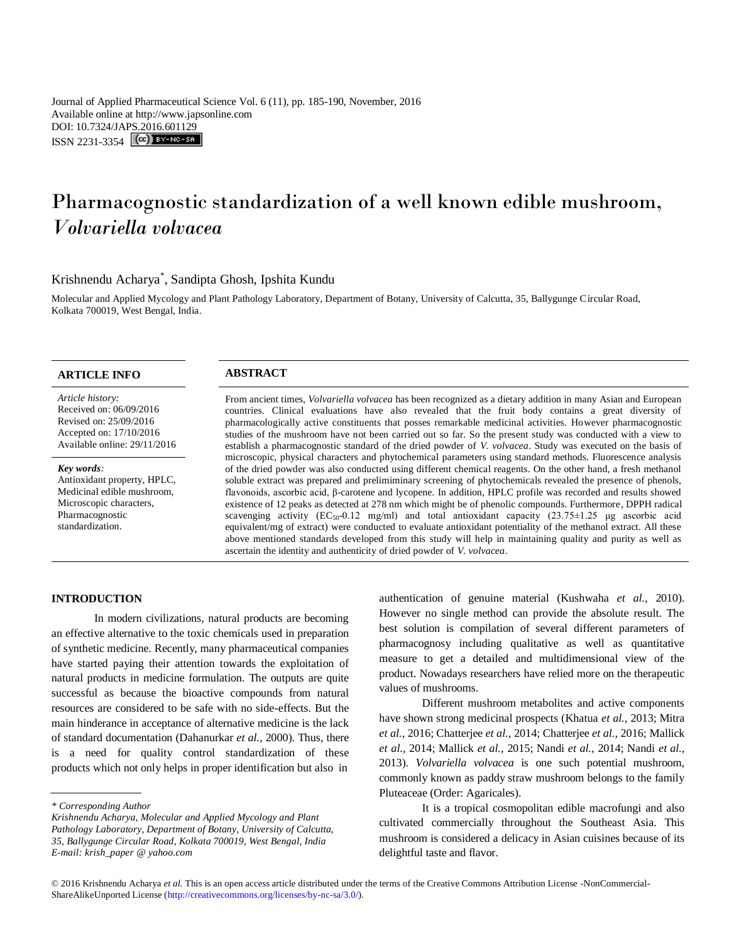Journal of Applied Pharmaceutical Science Vol. 6 (11), pp. 185-190, November, 2016 Available online at http://www.japsonline.com DOI: 10.7324/JA[PS.2016.601129](http://creativecommons.org/licenses/by-nc-sa/3.0/) ISSN 2231-3354 **CC**) BY-NO-SA

# Pharmacognostic standardization of a well known edible mushroom, *Volvariella volvacea*

# Krishnendu Acharya\* , Sandipta Ghosh, Ipshita Kundu

Molecular and Applied Mycology and Plant Pathology Laboratory, Department of Botany, University of Calcutta, 35, Ballygunge Circular Road, Kolkata 700019, West Bengal, India.

# **ARTICLE INFO ABSTRACT**

#### *Article history:*

Received on: 06/09/2016 Revised on: 25/09/2016 Accepted on: 17/10/2016 Available online: 29/11/2016

#### *Key words:*

Antioxidant property, HPLC, Medicinal edible mushroom, Microscopic characters, Pharmacognostic standardization.

From ancient times, *Volvariella volvacea* has been recognized as a dietary addition in many Asian and European countries. Clinical evaluations have also revealed that the fruit body contains a great diversity of pharmacologically active constituents that posses remarkable medicinal activities. However pharmacognostic studies of the mushroom have not been carried out so far. So the present study was conducted with a view to establish a pharmacognostic standard of the dried powder of *V. volvacea*. Study was executed on the basis of microscopic, physical characters and phytochemical parameters using standard methods. Fluorescence analysis of the dried powder was also conducted using different chemical reagents. On the other hand, a fresh methanol soluble extract was prepared and prelimiminary screening of phytochemicals revealed the presence of phenols, flavonoids, ascorbic acid, β-carotene and lycopene. In addition, HPLC profile was recorded and results showed existence of 12 peaks as detected at 278 nm which might be of phenolic compounds. Furthermore, DPPH radical scavenging activity  $(EC_{50} - 0.12 \text{ mg/ml})$  and total antioxidant capacity  $(23.75 \pm 1.25 \text{ ug}$  ascorbic acid equivalent/mg of extract) were conducted to evaluate antioxidant potentiality of the methanol extract. All these above mentioned standards developed from this study will help in maintaining quality and purity as well as ascertain the identity and authenticity of dried powder of *V. volvacea*.

#### **INTRODUCTION**

In modern civilizations, natural products are becoming an effective alternative to the toxic chemicals used in preparation of synthetic medicine. Recently, many pharmaceutical companies have started paying their attention towards the exploitation of natural products in medicine formulation. The outputs are quite successful as because the bioactive compounds from natural resources are considered to be safe with no side-effects. But the main hinderance in acceptance of alternative medicine is the lack of standard documentation (Dahanurkar *et al.,* 2000). Thus, there is a need for quality control standardization of these products which not only helps in proper identification but also in

authentication of genuine material (Kushwaha *et al.,* 2010). However no single method can provide the absolute result. The best solution is compilation of several different parameters of pharmacognosy including qualitative as well as quantitative measure to get a detailed and multidimensional view of the product. Nowadays researchers have relied more on the therapeutic values of mushrooms.

Different mushroom metabolites and active components have shown strong medicinal prospects (Khatua *et al.,* 2013; Mitra *et al.,* 2016; Chatterjee *et al.,* 2014; Chatterjee *et al.,* 2016; Mallick *et al.,* 2014; Mallick *et al.,* 2015; Nandi *et al.,* 2014; Nandi *et al.,*  2013). *Volvariella volvacea* is one such potential mushroom, commonly known as paddy straw mushroom belongs to the family Pluteaceae (Order: Agaricales).

It is a tropical cosmopolitan edible macrofungi and also cultivated commercially throughout the Southeast Asia. This mushroom is considered a delicacy in Asian cuisines because of its delightful taste and flavor.

*<sup>\*</sup> Corresponding Author*

*Krishnendu Acharya, Molecular and Applied Mycology and Plant Pathology Laboratory, Department of Botany, University of Calcutta, 35, Ballygunge Circular Road, Kolkata 700019, West Bengal, India E-mail: krish\_paper @ yahoo.com*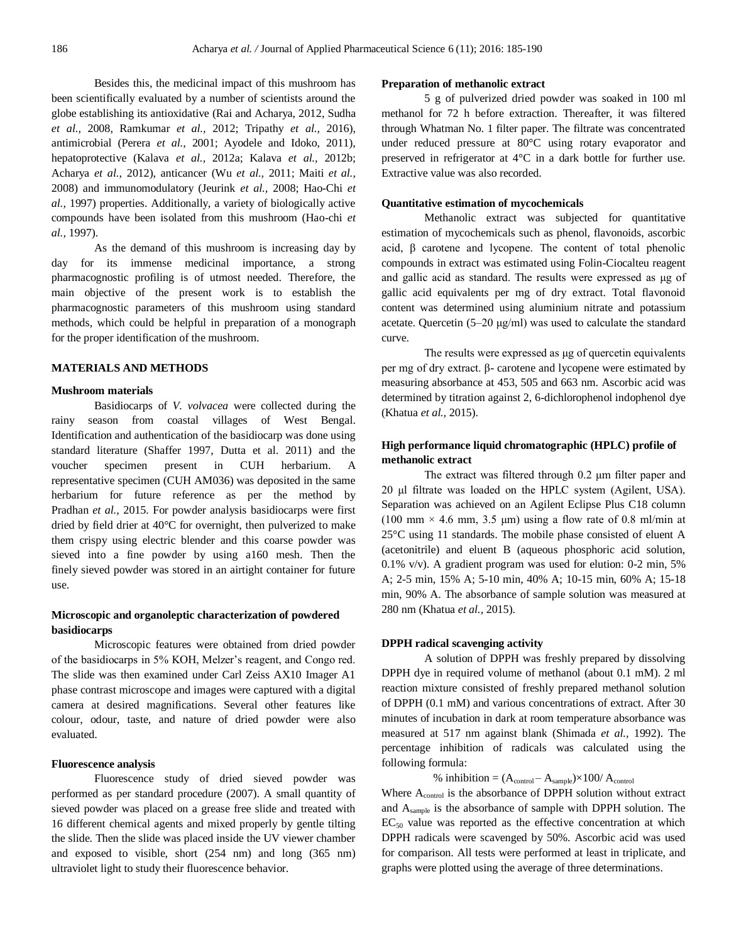Besides this, the medicinal impact of this mushroom has been scientifically evaluated by a number of scientists around the globe establishing its antioxidative (Rai and Acharya, 2012, Sudha *et al.,* 2008, Ramkumar *et al.,* 2012; Tripathy *et al.,* 2016), antimicrobial (Perera *et al.,* 2001; Ayodele and Idoko, 2011), hepatoprotective (Kalava *et al.,* 2012a; Kalava *et al.,* 2012b; Acharya *et al.,* 2012), anticancer (Wu *et al.,* 2011; Maiti *et al.,*  2008) and immunomodulatory (Jeurink *et al.,* 2008; Hao-Chi *et al.,* 1997) properties. Additionally, a variety of biologically active compounds have been isolated from this mushroom (Hao-chi *et al.,* 1997).

As the demand of this mushroom is increasing day by day for its immense medicinal importance, a strong pharmacognostic profiling is of utmost needed. Therefore, the main objective of the present work is to establish the pharmacognostic parameters of this mushroom using standard methods, which could be helpful in preparation of a monograph for the proper identification of the mushroom.

#### **MATERIALS AND METHODS**

#### **Mushroom materials**

Basidiocarps of *V. volvacea* were collected during the rainy season from coastal villages of West Bengal. Identification and authentication of the basidiocarp was done using standard literature (Shaffer 1997, Dutta et al. 2011) and the voucher specimen present in CUH herbarium. A representative specimen (CUH AM036) was deposited in the same herbarium for future reference as per the method by Pradhan *et al.,* 2015. For powder analysis basidiocarps were first dried by field drier at 40°C for overnight, then pulverized to make them crispy using electric blender and this coarse powder was sieved into a fine powder by using a160 mesh. Then the finely sieved powder was stored in an airtight container for future use.

### **Microscopic and organoleptic characterization of powdered basidiocarps**

Microscopic features were obtained from dried powder of the basidiocarps in 5% KOH, Melzer's reagent, and Congo red. The slide was then examined under Carl Zeiss AX10 Imager A1 phase contrast microscope and images were captured with a digital camera at desired magnifications. Several other features like colour, odour, taste, and nature of dried powder were also evaluated.

#### **Fluorescence analysis**

Fluorescence study of dried sieved powder was performed as per standard procedure (2007). A small quantity of sieved powder was placed on a grease free slide and treated with 16 different chemical agents and mixed properly by gentle tilting the slide. Then the slide was placed inside the UV viewer chamber and exposed to visible, short (254 nm) and long (365 nm) ultraviolet light to study their fluorescence behavior.

#### **Preparation of methanolic extract**

5 g of pulverized dried powder was soaked in 100 ml methanol for 72 h before extraction. Thereafter, it was filtered through Whatman No. 1 filter paper. The filtrate was concentrated under reduced pressure at 80°C using rotary evaporator and preserved in refrigerator at 4°C in a dark bottle for further use. Extractive value was also recorded.

#### **Quantitative estimation of mycochemicals**

Methanolic extract was subjected for quantitative estimation of mycochemicals such as phenol, flavonoids, ascorbic acid, β carotene and lycopene. The content of total phenolic compounds in extract was estimated using Folin-Ciocalteu reagent and gallic acid as standard. The results were expressed as μg of gallic acid equivalents per mg of dry extract. Total flavonoid content was determined using aluminium nitrate and potassium acetate. Quercetin (5–20 μg/ml) was used to calculate the standard curve.

The results were expressed as μg of quercetin equivalents per mg of dry extract. β- carotene and lycopene were estimated by measuring absorbance at 453, 505 and 663 nm. Ascorbic acid was determined by titration against 2, 6-dichlorophenol indophenol dye (Khatua *et al.,* 2015).

## **High performance liquid chromatographic (HPLC) profile of methanolic extract**

The extract was filtered through 0.2 μm filter paper and 20 μl filtrate was loaded on the HPLC system (Agilent, USA). Separation was achieved on an Agilent Eclipse Plus C18 column (100 mm  $\times$  4.6 mm, 3.5 µm) using a flow rate of 0.8 ml/min at 25°C using 11 standards. The mobile phase consisted of eluent A (acetonitrile) and eluent B (aqueous phosphoric acid solution, 0.1% v/v). A gradient program was used for elution: 0-2 min, 5% A; 2-5 min, 15% A; 5-10 min, 40% A; 10-15 min, 60% A; 15-18 min, 90% A. The absorbance of sample solution was measured at 280 nm (Khatua *et al.,* 2015).

#### **DPPH radical scavenging activity**

A solution of DPPH was freshly prepared by dissolving DPPH dye in required volume of methanol (about 0.1 mM). 2 ml reaction mixture consisted of freshly prepared methanol solution of DPPH (0.1 mM) and various concentrations of extract. After 30 minutes of incubation in dark at room temperature absorbance was measured at 517 nm against blank (Shimada *et al.,* 1992). The percentage inhibition of radicals was calculated using the following formula:

% inhibition =  $(A_{control} - A_{sample}) \times 100 / A_{control}$ 

Where A<sub>control</sub> is the absorbance of DPPH solution without extract and Asample is the absorbance of sample with DPPH solution. The  $EC_{50}$  value was reported as the effective concentration at which DPPH radicals were scavenged by 50%. Ascorbic acid was used for comparison. All tests were performed at least in triplicate, and graphs were plotted using the average of three determinations.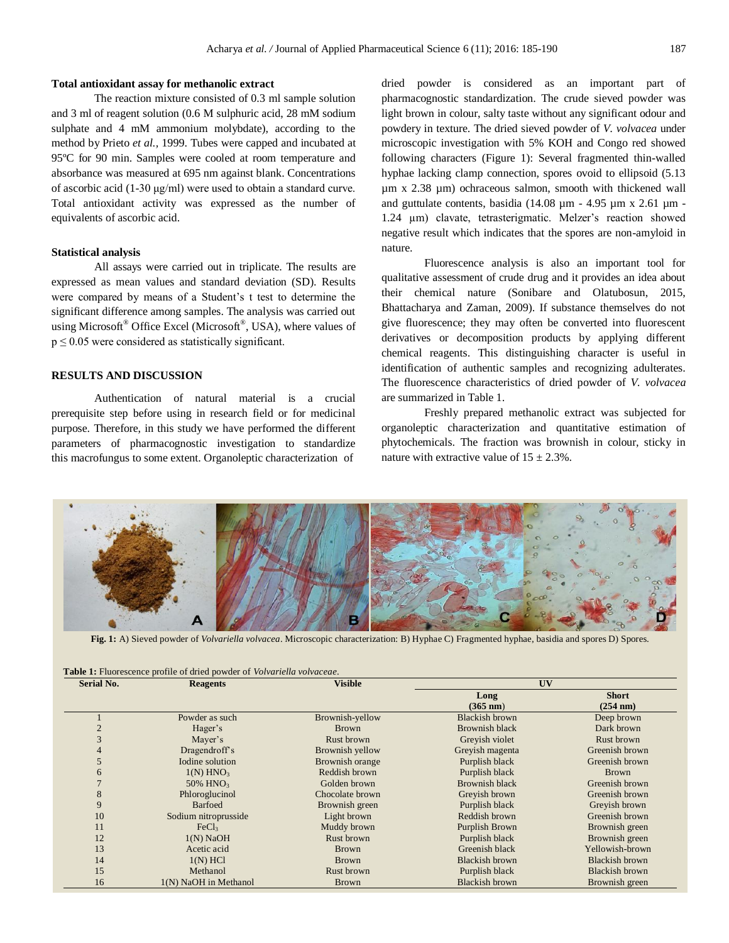#### **Total antioxidant assay for methanolic extract**

The reaction mixture consisted of 0.3 ml sample solution and 3 ml of reagent solution (0.6 M sulphuric acid, 28 mM sodium sulphate and 4 mM ammonium molybdate), according to the method by Prieto *et al.,* 1999. Tubes were capped and incubated at 95ºC for 90 min. Samples were cooled at room temperature and absorbance was measured at 695 nm against blank. Concentrations of ascorbic acid (1-30 μg/ml) were used to obtain a standard curve. Total antioxidant activity was expressed as the number of equivalents of ascorbic acid.

#### **Statistical analysis**

All assays were carried out in triplicate. The results are expressed as mean values and standard deviation (SD). Results were compared by means of a Student's t test to determine the significant difference among samples. The analysis was carried out using Microsoft® Office Excel (Microsoft®, USA), where values of  $p \le 0.05$  were considered as statistically significant.

### **RESULTS AND DISCUSSION**

Authentication of natural material is a crucial prerequisite step before using in research field or for medicinal purpose. Therefore, in this study we have performed the different parameters of pharmacognostic investigation to standardize this macrofungus to some extent. Organoleptic characterization of

dried powder is considered as an important part of pharmacognostic standardization. The crude sieved powder was light brown in colour, salty taste without any significant odour and powdery in texture. The dried sieved powder of *V. volvacea* under microscopic investigation with 5% KOH and Congo red showed following characters (Figure 1): Several fragmented thin-walled hyphae lacking clamp connection, spores ovoid to ellipsoid  $(5.13)$ µm x 2.38 µm) ochraceous salmon, smooth with thickened wall and guttulate contents, basidia (14.08  $\mu$ m - 4.95  $\mu$ m x 2.61  $\mu$ m -1.24 µm) clavate, tetrasterigmatic. Melzer's reaction showed negative result which indicates that the spores are non-amyloid in nature.

Fluorescence analysis is also an important tool for qualitative assessment of crude drug and it provides an idea about their chemical nature (Sonibare and Olatubosun, 2015, Bhattacharya and Zaman, 2009). If substance themselves do not give fluorescence; they may often be converted into fluorescent derivatives or decomposition products by applying different chemical reagents. This distinguishing character is useful in identification of authentic samples and recognizing adulterates. The fluorescence characteristics of dried powder of *V. volvacea* are summarized in Table 1.

Freshly prepared methanolic extract was subjected for organoleptic characterization and quantitative estimation of phytochemicals. The fraction was brownish in colour, sticky in nature with extractive value of  $15 \pm 2.3\%$ .



**Fig. 1:** A) Sieved powder of *Volvariella volvacea*. Microscopic characterization: B) Hyphae C) Fragmented hyphae, basidia and spores D) Spores.

| Serial No. | <b>Reagents</b>         | <b>Visible</b>  | UV                         |                          |
|------------|-------------------------|-----------------|----------------------------|--------------------------|
|            |                         |                 | Long<br>$(365 \text{ nm})$ | <b>Short</b><br>(254 nm) |
|            | Powder as such          | Brownish-yellow | <b>Blackish brown</b>      | Deep brown               |
|            | Hager's                 | <b>Brown</b>    | <b>Brownish black</b>      | Dark brown               |
| 3          | Mayer's                 | Rust brown      | Greyish violet             | Rust brown               |
| 4          | Dragendroff's           | Brownish yellow | Greyish magenta            | Greenish brown           |
| 5          | Iodine solution         | Brownish orange | Purplish black             | Greenish brown           |
| 6          | $1(N)$ HNO <sub>3</sub> | Reddish brown   | Purplish black             | <b>Brown</b>             |
|            | 50% HNO <sub>3</sub>    | Golden brown    | <b>Brownish black</b>      | Greenish brown           |
| 8          | Phloroglucinol          | Chocolate brown | Greyish brown              | Greenish brown           |
| 9          | <b>Barfoed</b>          | Brownish green  | Purplish black             | Greyish brown            |
| 10         | Sodium nitroprusside    | Light brown     | Reddish brown              | Greenish brown           |
| 11         | FeCl <sub>3</sub>       | Muddy brown     | Purplish Brown             | Brownish green           |
| 12         | $1(N)$ NaOH             | Rust brown      | Purplish black             | Brownish green           |
| 13         | Acetic acid             | <b>Brown</b>    | Greenish black             | Yellowish-brown          |
| 14         | $1(N)$ HCl              | <b>Brown</b>    | <b>Blackish brown</b>      | <b>Blackish brown</b>    |
| 15         | Methanol                | Rust brown      | Purplish black             | <b>Blackish brown</b>    |
| 16         | 1(N) NaOH in Methanol   | <b>Brown</b>    | <b>Blackish brown</b>      | Brownish green           |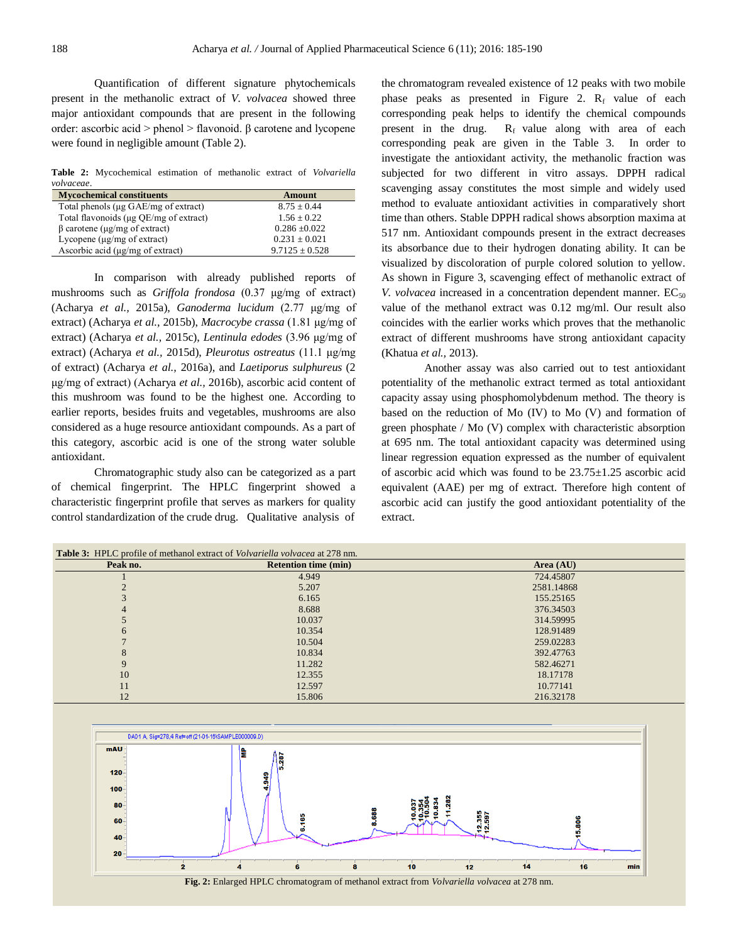Quantification of different signature phytochemicals present in the methanolic extract of *V. volvacea* showed three major antioxidant compounds that are present in the following order: ascorbic acid > phenol > flavonoid. β carotene and lycopene were found in negligible amount (Table 2).

**Table 2:** Mycochemical estimation of methanolic extract of *Volvariella volvaceae*.

| <b>Mycochemical constituents</b>          | Amount             |
|-------------------------------------------|--------------------|
| Total phenols (µg GAE/mg of extract)      | $8.75 + 0.44$      |
| Total flavonoids (µg QE/mg of extract)    | $1.56 + 0.22$      |
| $\beta$ carotene ( $\mu$ g/mg of extract) | $0.286 + 0.022$    |
| Lycopene $(\mu g/mg)$ of extract)         | $0.231 \pm 0.021$  |
| Ascorbic acid $(\mu g/mg)$ of extract)    | $9.7125 \pm 0.528$ |

In comparison with already published reports of mushrooms such as *Griffola frondosa* (0.37 μg/mg of extract) (Acharya *et al.,* 2015a), *Ganoderma lucidum* (2.77 μg/mg of extract) (Acharya *et al.,* 2015b), *Macrocybe crassa* (1.81 μg/mg of extract) (Acharya *et al.,* 2015c), *Lentinula edodes* (3.96 μg/mg of extract) (Acharya *et al.,* 2015d), *Pleurotus ostreatus* (11.1 μg/mg of extract) (Acharya *et al.,* 2016a), and *Laetiporus sulphureus* (2 μg/mg of extract) (Acharya *et al.,* 2016b), ascorbic acid content of this mushroom was found to be the highest one. According to earlier reports, besides fruits and vegetables, mushrooms are also considered as a huge resource antioxidant compounds. As a part of this category, ascorbic acid is one of the strong water soluble antioxidant.

Chromatographic study also can be categorized as a part of chemical fingerprint. The HPLC fingerprint showed a characteristic fingerprint profile that serves as markers for quality control standardization of the crude drug. Qualitative analysis of the chromatogram revealed existence of 12 peaks with two mobile phase peaks as presented in Figure 2.  $R_f$  value of each corresponding peak helps to identify the chemical compounds present in the drug.  $R_f$  value along with area of each corresponding peak are given in the Table 3. In order to investigate the antioxidant activity, the methanolic fraction was subjected for two different in vitro assays. DPPH radical scavenging assay constitutes the most simple and widely used method to evaluate antioxidant activities in comparatively short time than others. Stable DPPH radical shows absorption maxima at 517 nm. Antioxidant compounds present in the extract decreases its absorbance due to their hydrogen donating ability. It can be visualized by discoloration of purple colored solution to yellow. As shown in Figure 3, scavenging effect of methanolic extract of *V. volvacea* increased in a concentration dependent manner.  $EC_{50}$ value of the methanol extract was 0.12 mg/ml. Our result also coincides with the earlier works which proves that the methanolic extract of different mushrooms have strong antioxidant capacity (Khatua *et al.,* 2013).

Another assay was also carried out to test antioxidant potentiality of the methanolic extract termed as total antioxidant capacity assay using phosphomolybdenum method. The theory is based on the reduction of Mo (IV) to Mo (V) and formation of green phosphate / Mo (V) complex with characteristic absorption at 695 nm. The total antioxidant capacity was determined using linear regression equation expressed as the number of equivalent of ascorbic acid which was found to be 23.75±1.25 ascorbic acid equivalent (AAE) per mg of extract. Therefore high content of ascorbic acid can justify the good antioxidant potentiality of the extract.

| <b>Table 3:</b> HPLC profile of methanol extract of <i>Volvariella volvacea</i> at 278 nm. |                             |             |  |  |  |
|--------------------------------------------------------------------------------------------|-----------------------------|-------------|--|--|--|
| Peak no.                                                                                   | <b>Retention time (min)</b> | Area $(AU)$ |  |  |  |
|                                                                                            | 4.949                       | 724.45807   |  |  |  |
|                                                                                            | 5.207                       | 2581.14868  |  |  |  |
|                                                                                            | 6.165                       | 155.25165   |  |  |  |
|                                                                                            | 8.688                       | 376.34503   |  |  |  |
|                                                                                            | 10.037                      | 314.59995   |  |  |  |
| 6                                                                                          | 10.354                      | 128.91489   |  |  |  |
|                                                                                            | 10.504                      | 259.02283   |  |  |  |
| 8                                                                                          | 10.834                      | 392,47763   |  |  |  |
| 9                                                                                          | 11.282                      | 582.46271   |  |  |  |
| 10                                                                                         | 12.355                      | 18.17178    |  |  |  |
| 11                                                                                         | 12.597                      | 10.77141    |  |  |  |
| 12                                                                                         | 15.806                      | 216.32178   |  |  |  |

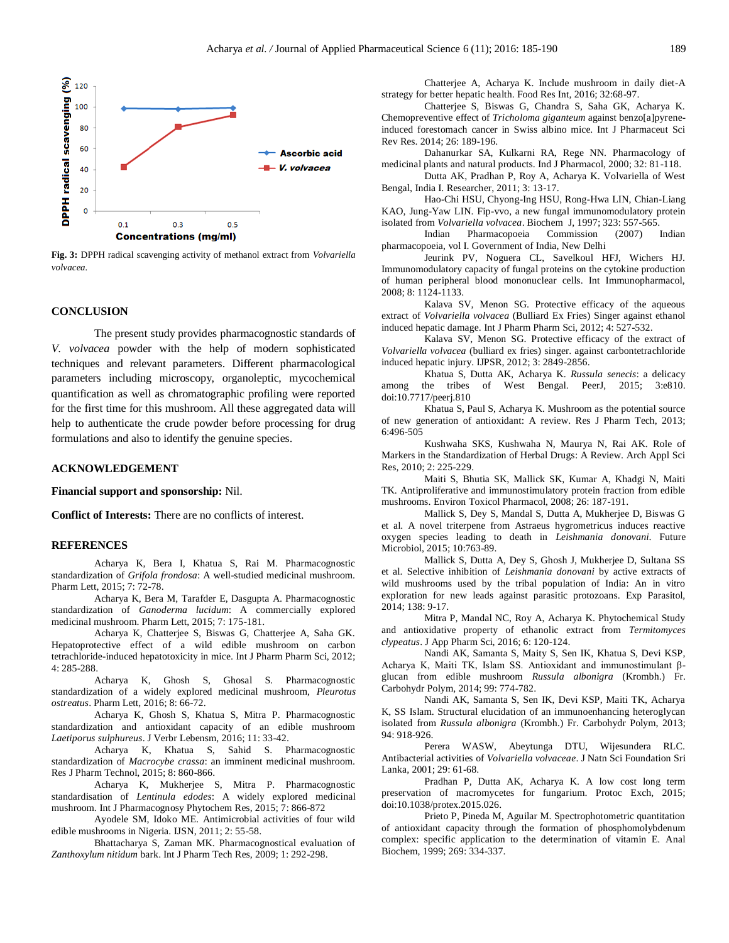

**Fig. 3:** DPPH radical scavenging activity of methanol extract from *Volvariella volvacea.*

#### **CONCLUSION**

The present study provides pharmacognostic standards of *V. volvacea* powder with the help of modern sophisticated techniques and relevant parameters. Different pharmacological parameters including microscopy, organoleptic, mycochemical quantification as well as chromatographic profiling were reported for the first time for this mushroom. All these aggregated data will help to authenticate the crude powder before processing for drug formulations and also to identify the genuine species.

#### **ACKNOWLEDGEMENT**

**Financial support and sponsorship:** Nil.

**Conflict of Interests:** There are no conflicts of interest.

#### **REFERENCES**

Acharya K, Bera I, Khatua S, Rai M. Pharmacognostic standardization of *Grifola frondosa*: A well-studied medicinal mushroom. Pharm Lett, 2015; 7: 72-78.

Acharya K, Bera M, Tarafder E, Dasgupta A. Pharmacognostic standardization of *Ganoderma lucidum*: A commercially explored medicinal mushroom. Pharm Lett, 2015; 7: 175-181.

Acharya K, Chatterjee S, Biswas G, Chatterjee A, Saha GK. Hepatoprotective effect of a wild edible mushroom on carbon tetrachloride-induced hepatotoxicity in mice. Int J Pharm Pharm Sci, 2012; 4: 285-288.

Acharya K, Ghosh S, Ghosal S. Pharmacognostic standardization of a widely explored medicinal mushroom, *Pleurotus ostreatus*. Pharm Lett, 2016; 8: 66-72.

Acharya K, Ghosh S, Khatua S, Mitra P. Pharmacognostic standardization and antioxidant capacity of an edible mushroom *Laetiporus sulphureus*. J Verbr Lebensm, 2016; 11: 33-42.

Acharya K, Khatua S, Sahid S. Pharmacognostic standardization of *Macrocybe crassa*: an imminent medicinal mushroom. Res J Pharm Technol, 2015; 8: 860-866.

Acharya K, Mukherjee S, Mitra P. Pharmacognostic standardisation of *Lentinula edodes*: A widely explored medicinal mushroom. Int J Pharmacognosy Phytochem Res, 2015; 7: 866-872

Ayodele SM, Idoko ME. Antimicrobial activities of four wild edible mushrooms in Nigeria. IJSN, 2011; 2: 55-58.

Bhattacharya S, Zaman MK. Pharmacognostical evaluation of *Zanthoxylum nitidum* bark. Int J Pharm Tech Res, 2009; 1: 292-298.

Chatterjee A, Acharya K. Include mushroom in daily diet-A strategy for better hepatic health. Food Res Int, 2016; 32:68-97.

Chatterjee S, Biswas G, Chandra S, Saha GK, Acharya K. Chemopreventive effect of *Tricholoma giganteum* against benzo[a]pyreneinduced forestomach cancer in Swiss albino mice. Int J Pharmaceut Sci Rev Res. 2014; 26: 189-196.

Dahanurkar SA, Kulkarni RA, Rege NN. Pharmacology of medicinal plants and natural products. Ind J Pharmacol, 2000; 32: 81-118.

Dutta AK, Pradhan P, Roy A, Acharya K. Volvariella of West Bengal, India I. Researcher, 2011; 3: 13-17.

Hao-Chi HSU, Chyong-Ing HSU, Rong-Hwa LIN, Chian-Liang KAO, Jung-Yaw LIN. Fip-vvo, a new fungal immunomodulatory protein isolated from *Volvariella volvacea*. Biochem J, 1997; 323: 557-565.

Indian Pharmacopoeia Commission (2007) Indian pharmacopoeia, vol I. Government of India, New Delhi

Jeurink PV, Noguera CL, Savelkoul HFJ, Wichers HJ. Immunomodulatory capacity of fungal proteins on the cytokine production of human peripheral blood mononuclear cells. Int Immunopharmacol, 2008; 8: 1124-1133.

Kalava SV, Menon SG. Protective efficacy of the aqueous extract of *Volvariella volvacea* (Bulliard Ex Fries) Singer against ethanol induced hepatic damage. Int J Pharm Pharm Sci, 2012; 4: 527-532.

Kalava SV, Menon SG. Protective efficacy of the extract of *Volvariella volvacea* (bulliard ex fries) singer. against carbontetrachloride induced hepatic injury. IJPSR, 2012; 3: 2849-2856.

Khatua S, Dutta AK, Acharya K. *Russula senecis*: a delicacy among the tribes of West Bengal. PeerJ, 2015; 3:e810. doi:10.7717/peerj.810

Khatua S, Paul S, Acharya K. Mushroom as the potential source of new generation of antioxidant: A review. Res J Pharm Tech, 2013; 6:496-505

Kushwaha SKS, Kushwaha N, Maurya N, Rai AK. Role of Markers in the Standardization of Herbal Drugs: A Review. Arch Appl Sci Res, 2010; 2: 225-229.

Maiti S, Bhutia SK, Mallick SK, Kumar A, Khadgi N, Maiti TK. Antiproliferative and immunostimulatory protein fraction from edible mushrooms. Environ Toxicol Pharmacol, 2008; 26: 187-191.

Mallick S, Dey S, Mandal S, Dutta A, Mukherjee D, Biswas G et al. A novel triterpene from Astraeus hygrometricus induces reactive oxygen species leading to death in *Leishmania donovani*. Future Microbiol, 2015; 10:763-89.

Mallick S, Dutta A, Dey S, Ghosh J, Mukherjee D, Sultana SS et al. Selective inhibition of *Leishmania donovani* by active extracts of wild mushrooms used by the tribal population of India: An in vitro exploration for new leads against parasitic protozoans. Exp Parasitol, 2014; 138: 9-17.

Mitra P, Mandal NC, Roy A, Acharya K. Phytochemical Study and antioxidative property of ethanolic extract from *Termitomyces clypeatus*. J App Pharm Sci, 2016; 6: 120-124.

Nandi AK, Samanta S, Maity S, Sen IK, Khatua S, Devi KSP, Acharya K, Maiti TK, Islam SS. Antioxidant and immunostimulant βglucan from edible mushroom *Russula albonigra* (Krombh.) Fr. Carbohydr Polym, 2014; 99: 774-782.

Nandi AK, Samanta S, Sen IK, Devi KSP, Maiti TK, Acharya K, SS Islam. Structural elucidation of an immunoenhancing heteroglycan isolated from *Russula albonigra* (Krombh.) Fr. Carbohydr Polym, 2013; 94: 918-926.

Perera WASW, Abeytunga DTU, Wijesundera RLC. Antibacterial activities of *Volvariella volvaceae*. J Natn Sci Foundation Sri Lanka, 2001; 29: 61-68.

Pradhan P, Dutta AK, Acharya K. A low cost long term preservation of macromycetes for fungarium. Protoc Exch, 2015; doi:10.1038/protex.2015.026.

Prieto P, Pineda M, Aguilar M. Spectrophotometric quantitation of antioxidant capacity through the formation of phosphomolybdenum complex: specific application to the determination of vitamin E. Anal Biochem, 1999; 269: 334-337.